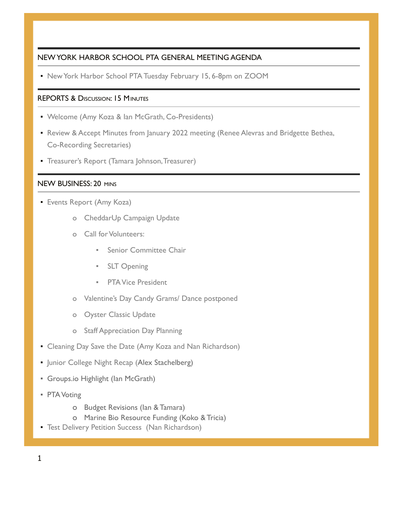# NEW YORK HARBOR SCHOOL PTA GENERAL MEETING AGENDA

▪ New York Harbor School PTA Tuesday February 15, 6-8pm on ZOOM

# REPORTS & DISCUSSION: 15 MINUTES

- Welcome (Amy Koza & Ian McGrath, Co-Presidents)
- **Review & Accept Minutes from January 2022 meeting (Renee Alevras and Bridgette Bethea,** Co-Recording Secretaries)
- Treasurer's Report (Tamara Johnson,Treasurer)

### NEW BUSINESS: 20 MINS

- **Events Report (Amy Koza)** 
	- o CheddarUp Campaign Update
	- o Call for Volunteers:
		- **Senior Committee Chair**
		- SLT Opening
		- PTA Vice President
	- o Valentine's Day Candy Grams/ Dance postponed
	- o Oyster Classic Update
	- o Staff Appreciation Day Planning
- **Cleaning Day Save the Date (Amy Koza and Nan Richardson)**
- **Junior College Night Recap (Alex Stachelberg)**
- Groups.io Highlight (Ian McGrath)
- **PTA Voting** 
	- o Budget Revisions (Ian & Tamara)
	- o Marine Bio Resource Funding (Koko & Tricia)
- **Test Delivery Petition Success (Nan Richardson)**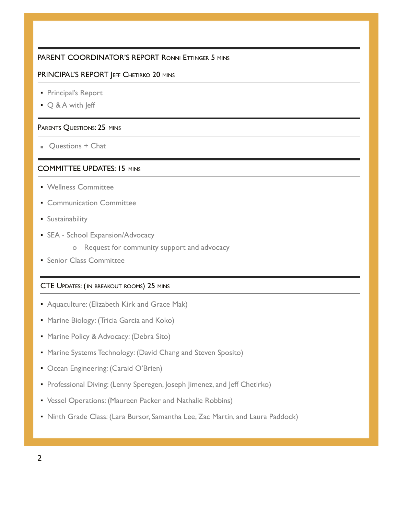### PARENT COORDINATOR'S REPORT RONNI ETTINGER 5 MINS

### PRINCIPAL'S REPORT JEFF CHETIRKO 20 MINS

- Principal's Report
- Q & A with Jeff

#### PARENTS QUESTIONS: 25 MINS

■ Questions + Chat

### COMMITTEE UPDATES: 15 MINS

- Wellness Committee
- **Communication Committee**
- **E** Sustainability
- **SEA School Expansion/Advocacy** 
	- o Request for community support and advocacy
- **Senior Class Committee**

### CTE UPDATES: (IN BREAKOUT ROOMS) 25 MINS

- **Aquaculture: (Elizabeth Kirk and Grace Mak)**
- **Marine Biology: (Tricia Garcia and Koko)**
- **Marine Policy & Advocacy: (Debra Sito)**
- **Marine Systems Technology: (David Chang and Steven Sposito)**
- **Ocean Engineering: (Caraid O'Brien)**
- **Professional Diving: (Lenny Speregen, Joseph Jimenez, and Jeff Chetirko)**
- Vessel Operations: (Maureen Packer and Nathalie Robbins)
- **Ninth Grade Class: (Lara Bursor, Samantha Lee, Zac Martin, and Laura Paddock)**